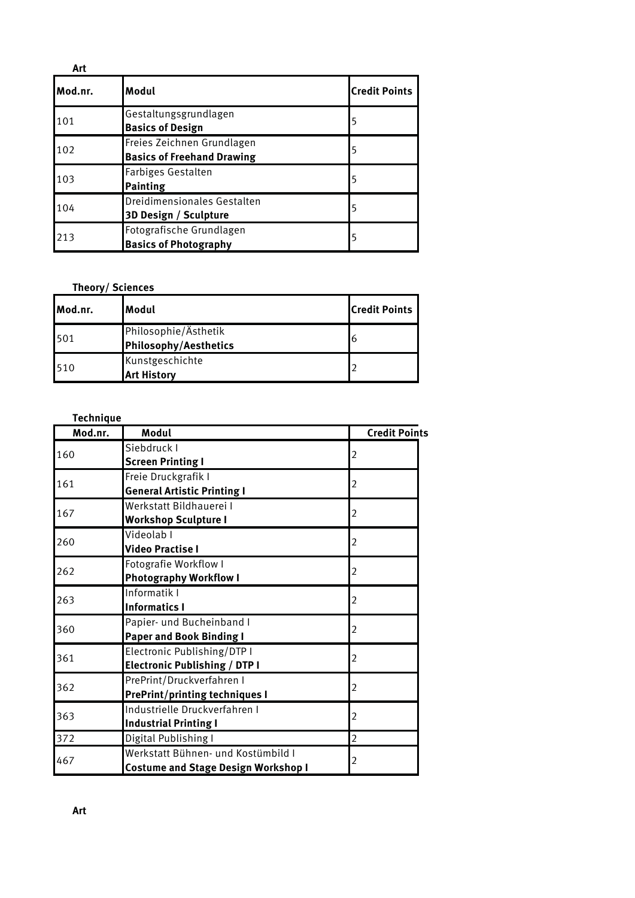| Art     |                                                                 |                      |
|---------|-----------------------------------------------------------------|----------------------|
| Mod.nr. | Modul                                                           | <b>Credit Points</b> |
| 101     | Gestaltungsgrundlagen<br><b>Basics of Design</b>                | 5                    |
| 102     | Freies Zeichnen Grundlagen<br><b>Basics of Freehand Drawing</b> | 5                    |
| 103     | Farbiges Gestalten<br><b>Painting</b>                           |                      |
| 104     | Dreidimensionales Gestalten<br>3D Design / Sculpture            | 5                    |
| 213     | Fotografische Grundlagen<br><b>Basics of Photography</b>        | 5                    |

### **Theory/ Sciences**

| Mod.nr. | lModul                                               | <b>Credit Points</b> |
|---------|------------------------------------------------------|----------------------|
| 501     | Philosophie/Ästhetik<br><b>Philosophy/Aesthetics</b> | 6                    |
| 510     | Kunstgeschichte<br><b>Art History</b>                |                      |

| <b>Technique</b> |                                            |                      |
|------------------|--------------------------------------------|----------------------|
| Mod.nr.          | Modul                                      | <b>Credit Points</b> |
| 160              | Siebdruck I                                |                      |
|                  | <b>Screen Printing I</b>                   | 2                    |
| 161              | Freie Druckgrafik I                        |                      |
|                  | <b>General Artistic Printing I</b>         | 2                    |
| 167              | Werkstatt Bildhauerei I                    |                      |
|                  | <b>Workshop Sculpture I</b>                | 2                    |
| 260              | Videolab I                                 |                      |
|                  | <b>Video Practise I</b>                    | 2                    |
| 262              | Fotografie Workflow I                      |                      |
|                  | <b>Photography Workflow I</b>              | 2                    |
| 263              | Informatik I                               | 2                    |
|                  | <b>Informatics I</b>                       |                      |
| 360              | Papier- und Bucheinband I                  | 2                    |
|                  | <b>Paper and Book Binding I</b>            |                      |
| 361              | Electronic Publishing/DTP I                | 2                    |
|                  | <b>Electronic Publishing / DTP I</b>       |                      |
| 362              | PrePrint/Druckverfahren I                  | 2                    |
|                  | <b>PrePrint/printing techniques I</b>      |                      |
| 363              | Industrielle Druckverfahren I              | 2                    |
|                  | <b>Industrial Printing I</b>               |                      |
| 372              | Digital Publishing I                       | $\overline{2}$       |
|                  | Werkstatt Bühnen- und Kostümbild I         |                      |
| 467              | <b>Costume and Stage Design Workshop I</b> | 2                    |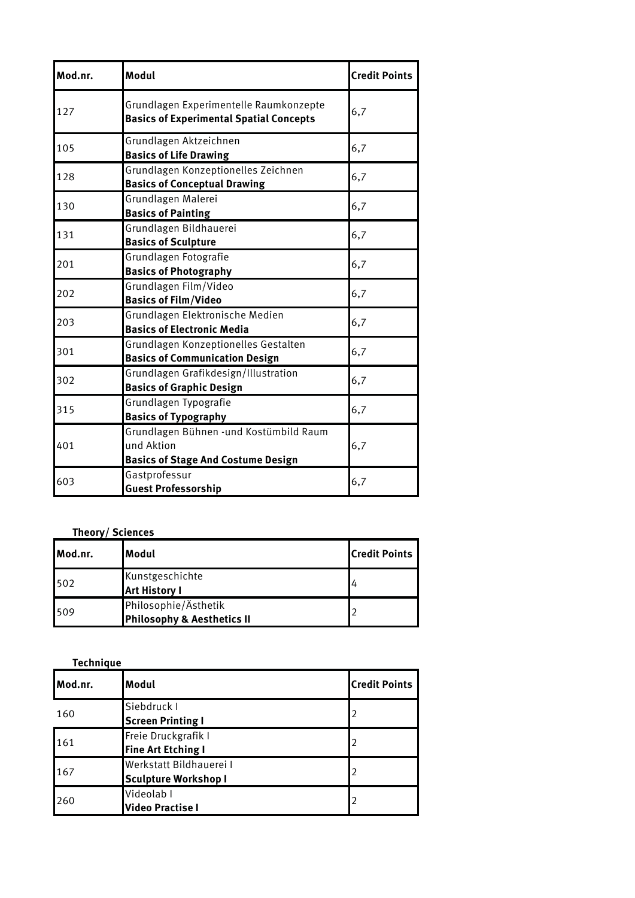| Mod.nr. | Modul                                                                                             | <b>Credit Points</b> |
|---------|---------------------------------------------------------------------------------------------------|----------------------|
| 127     | Grundlagen Experimentelle Raumkonzepte<br><b>Basics of Experimental Spatial Concepts</b>          | 6,7                  |
| 105     | Grundlagen Aktzeichnen<br><b>Basics of Life Drawing</b>                                           | 6,7                  |
| 128     | Grundlagen Konzeptionelles Zeichnen<br><b>Basics of Conceptual Drawing</b>                        | 6,7                  |
| 130     | Grundlagen Malerei<br><b>Basics of Painting</b>                                                   | 6,7                  |
| 131     | Grundlagen Bildhauerei<br><b>Basics of Sculpture</b>                                              | 6,7                  |
| 201     | Grundlagen Fotografie<br><b>Basics of Photography</b>                                             | 6,7                  |
| 202     | Grundlagen Film/Video<br><b>Basics of Film/Video</b>                                              | 6,7                  |
| 203     | Grundlagen Elektronische Medien<br><b>Basics of Electronic Media</b>                              | 6,7                  |
| 301     | Grundlagen Konzeptionelles Gestalten<br><b>Basics of Communication Design</b>                     | 6,7                  |
| 302     | Grundlagen Grafikdesign/Illustration<br><b>Basics of Graphic Design</b>                           | 6,7                  |
| 315     | Grundlagen Typografie<br><b>Basics of Typography</b>                                              | 6,7                  |
| 401     | Grundlagen Bühnen -und Kostümbild Raum<br>und Aktion<br><b>Basics of Stage And Costume Design</b> | 6,7                  |
| 603     | Gastprofessur<br><b>Guest Professorship</b>                                                       | 6,7                  |

## **Theory/ Sciences**

| Mod.nr. | lModul                                             | <b>Credit Points</b> |
|---------|----------------------------------------------------|----------------------|
| 502     | Kunstgeschichte<br><b>Art History I</b>            |                      |
| 509     | Philosophie/Ästhetik<br>Philosophy & Aesthetics II |                      |

| <b>Technique</b> |                                                        |                      |
|------------------|--------------------------------------------------------|----------------------|
| Mod.nr.          | Modul                                                  | <b>Credit Points</b> |
| 160              | Siebdruck I<br><b>Screen Printing I</b>                |                      |
| 161              | Freie Druckgrafik I<br><b>Fine Art Etching I</b>       | 2                    |
| 167              | Werkstatt Bildhauerei I<br><b>Sculpture Workshop I</b> | 2                    |
| 260              | Videolab I<br><b>Video Practise I</b>                  |                      |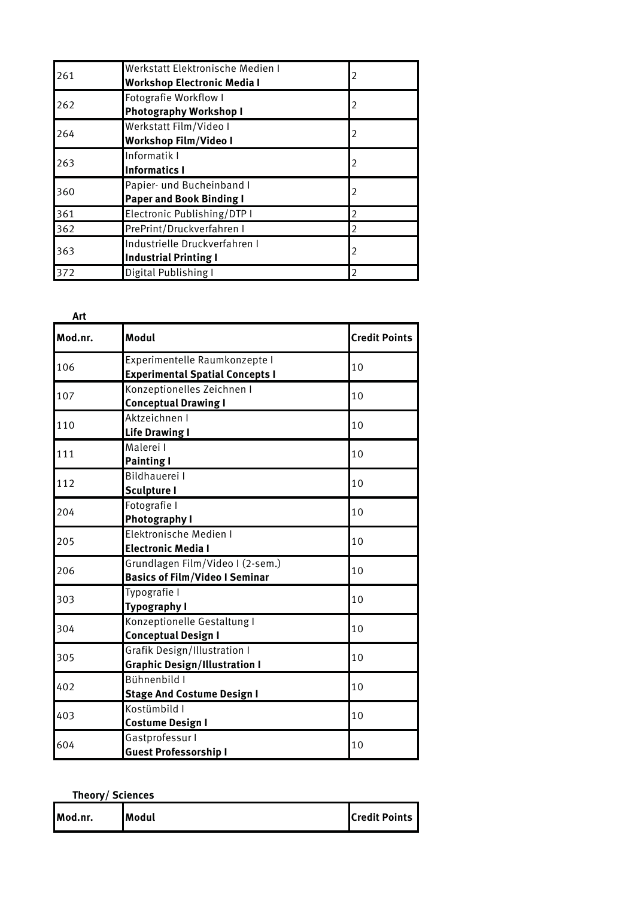| 261 | Werkstatt Elektronische Medien I<br><b>Workshop Electronic Media I</b> | 2              |
|-----|------------------------------------------------------------------------|----------------|
| 262 | <b>Fotografie Workflow I</b><br><b>Photography Workshop I</b>          | $\overline{2}$ |
| 264 | Werkstatt Film/Video I<br><b>Workshop Film/Video I</b>                 | $\mathfrak z$  |
| 263 | Informatik I<br><b>Informatics I</b>                                   | $\overline{2}$ |
| 360 | Papier- und Bucheinband I<br><b>Paper and Book Binding I</b>           | $\mathfrak z$  |
| 361 | Electronic Publishing/DTP I                                            | $\mathfrak z$  |
| 362 | PrePrint/Druckverfahren I                                              | C              |
| 363 | Industrielle Druckverfahren I<br><b>Industrial Printing I</b>          | $\mathfrak z$  |
| 372 | Digital Publishing I                                                   | $\overline{2}$ |

| Art     |                                                                             |                      |
|---------|-----------------------------------------------------------------------------|----------------------|
| Mod.nr. | Modul                                                                       | <b>Credit Points</b> |
| 106     | Experimentelle Raumkonzepte I<br><b>Experimental Spatial Concepts I</b>     | 10                   |
| 107     | Konzeptionelles Zeichnen I<br><b>Conceptual Drawing I</b>                   | 10                   |
| 110     | Aktzeichnen I<br><b>Life Drawing I</b>                                      | 10                   |
| 111     | Malerei I<br><b>Painting I</b>                                              | 10                   |
| 112     | <b>Bildhauerei I</b><br><b>Sculpture I</b>                                  | 10                   |
| 204     | Fotografie I<br><b>Photography I</b>                                        | 10                   |
| 205     | Elektronische Medien I<br><b>Electronic Media I</b>                         | 10                   |
| 206     | Grundlagen Film/Video I (2-sem.)<br><b>Basics of Film/Video I Seminar</b>   | 10                   |
| 303     | Typografie I<br><b>Typography I</b>                                         | 10                   |
| 304     | Konzeptionelle Gestaltung I<br><b>Conceptual Design I</b>                   | 10                   |
| 305     | <b>Grafik Design/Illustration I</b><br><b>Graphic Design/Illustration I</b> | 10                   |
| 402     | Bühnenbild I<br><b>Stage And Costume Design I</b>                           | 10                   |
| 403     | Kostümbild I<br><b>Costume Design I</b>                                     | 10                   |
| 604     | Gastprofessur I<br><b>Guest Professorship I</b>                             | 10                   |

| Theory/Sciences |       |                      |
|-----------------|-------|----------------------|
| Mod.nr.         | Modul | <b>Credit Points</b> |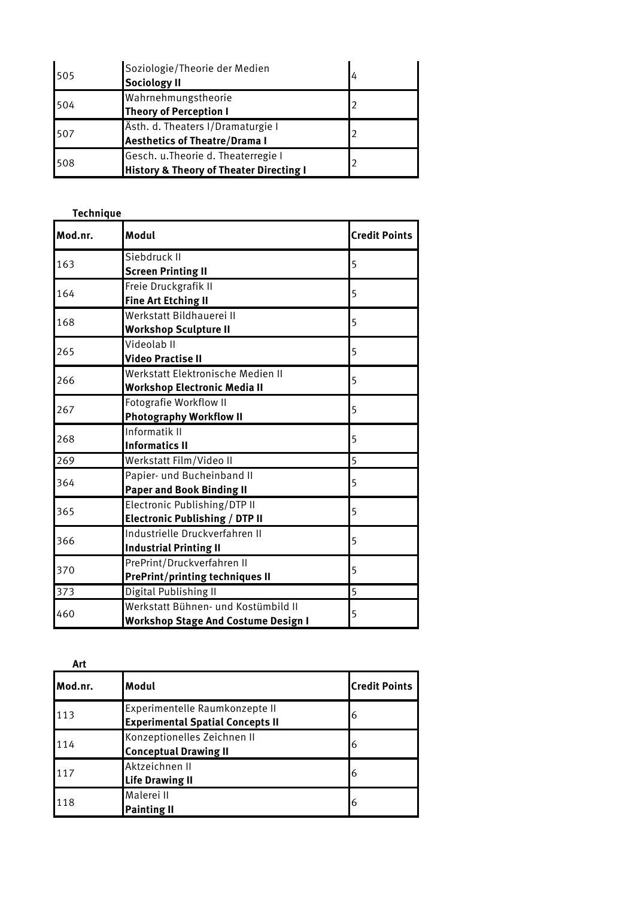| 505 | Soziologie/Theorie der Medien<br><b>Sociology II</b>                                      | 4 |
|-----|-------------------------------------------------------------------------------------------|---|
| 504 | Wahrnehmungstheorie<br><b>Theory of Perception I</b>                                      |   |
| 507 | Ästh. d. Theaters I/Dramaturgie I<br><b>Aesthetics of Theatre/Drama I</b>                 |   |
| 508 | Gesch. u. Theorie d. Theaterregie I<br><b>History &amp; Theory of Theater Directing I</b> |   |

| <b>Technique</b> |                                                                                   |                      |
|------------------|-----------------------------------------------------------------------------------|----------------------|
| Mod.nr.          | Modul                                                                             | <b>Credit Points</b> |
| 163              | Siebdruck II<br><b>Screen Printing II</b>                                         | 5                    |
| 164              | Freie Druckgrafik II<br><b>Fine Art Etching II</b>                                | 5                    |
| 168              | Werkstatt Bildhauerei II<br><b>Workshop Sculpture II</b>                          | 5                    |
| 265              | Videolab II<br><b>Video Practise II</b>                                           | 5                    |
| 266              | Werkstatt Elektronische Medien II<br><b>Workshop Electronic Media II</b>          | 5                    |
| 267              | Fotografie Workflow II<br><b>Photography Workflow II</b>                          | 5                    |
| 268              | Informatik II<br><b>Informatics II</b>                                            | 5                    |
| 269              | Werkstatt Film/Video II                                                           | 5                    |
| 364              | Papier- und Bucheinband II<br><b>Paper and Book Binding II</b>                    | 5                    |
| 365              | Electronic Publishing/DTP II<br><b>Electronic Publishing / DTP II</b>             | 5                    |
| 366              | Industrielle Druckverfahren II<br><b>Industrial Printing II</b>                   | 5                    |
| 370              | PrePrint/Druckverfahren II<br><b>PrePrint/printing techniques II</b>              | 5                    |
| 373              | Digital Publishing II                                                             | 5                    |
| 460              | Werkstatt Bühnen- und Kostümbild II<br><b>Workshop Stage And Costume Design I</b> | 5                    |

| Art     |                                                                           |                      |
|---------|---------------------------------------------------------------------------|----------------------|
| Mod.nr. | Modul                                                                     | <b>Credit Points</b> |
| 113     | Experimentelle Raumkonzepte II<br><b>Experimental Spatial Concepts II</b> | 6                    |
| 114     | Konzeptionelles Zeichnen II<br><b>Conceptual Drawing II</b>               | 6                    |
| 117     | Aktzeichnen II<br><b>Life Drawing II</b>                                  | 6                    |
| 118     | Malerei II<br><b>Painting II</b>                                          | 6                    |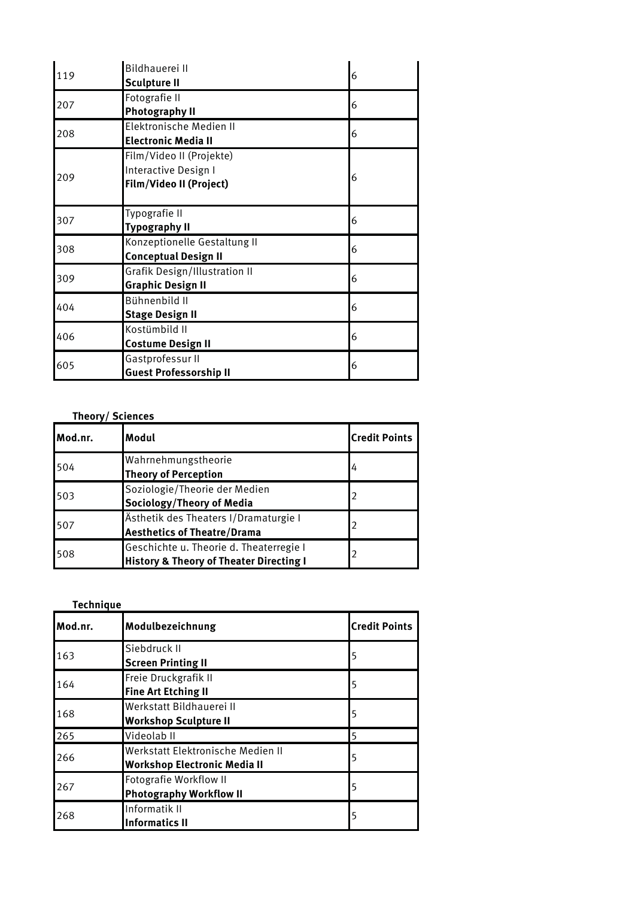| 119 | Bildhauerei II<br><b>Sculpture II</b>                                              | 6 |
|-----|------------------------------------------------------------------------------------|---|
| 207 | Fotografie II<br><b>Photography II</b>                                             | 6 |
| 208 | Elektronische Medien II<br><b>Electronic Media II</b>                              | 6 |
| 209 | Film/Video II (Projekte)<br>Interactive Design I<br><b>Film/Video II (Project)</b> | 6 |
| 307 | Typografie II<br><b>Typography II</b>                                              | 6 |
| 308 | Konzeptionelle Gestaltung II<br><b>Conceptual Design II</b>                        | 6 |
| 309 | <b>Grafik Design/Illustration II</b><br><b>Graphic Design II</b>                   | 6 |
| 404 | Bühnenbild II<br><b>Stage Design II</b>                                            | 6 |
| 406 | Kostümbild II<br><b>Costume Design II</b>                                          | 6 |
| 605 | Gastprofessur II<br><b>Guest Professorship II</b>                                  | 6 |

## **Theory/ Sciences**

| Mod.nr. | Modul                                                                                         | <b>Credit Points</b> |
|---------|-----------------------------------------------------------------------------------------------|----------------------|
| 504     | Wahrnehmungstheorie<br><b>Theory of Perception</b>                                            | 4                    |
| 503     | Soziologie/Theorie der Medien<br>Sociology/Theory of Media                                    | 2                    |
| 507     | Ästhetik des Theaters I/Dramaturgie I<br><b>Aesthetics of Theatre/Drama</b>                   | 2                    |
| 508     | Geschichte u. Theorie d. Theaterregie I<br><b>History &amp; Theory of Theater Directing I</b> | $\overline{2}$       |

| <b>Technique</b> |                                                                          |                      |
|------------------|--------------------------------------------------------------------------|----------------------|
| Mod.nr.          | Modulbezeichnung                                                         | <b>Credit Points</b> |
| 163              | Siebdruck II<br><b>Screen Printing II</b>                                | 5                    |
| 164              | Freie Druckgrafik II<br><b>Fine Art Etching II</b>                       | 5                    |
| 168              | Werkstatt Bildhauerei II<br><b>Workshop Sculpture II</b>                 | 5                    |
| 265              | Videolab II                                                              | 5                    |
| 266              | Werkstatt Elektronische Medien II<br><b>Workshop Electronic Media II</b> | 5                    |
| 267              | Fotografie Workflow II<br><b>Photography Workflow II</b>                 | 5                    |
| 268              | Informatik II<br><b>Informatics II</b>                                   | 5                    |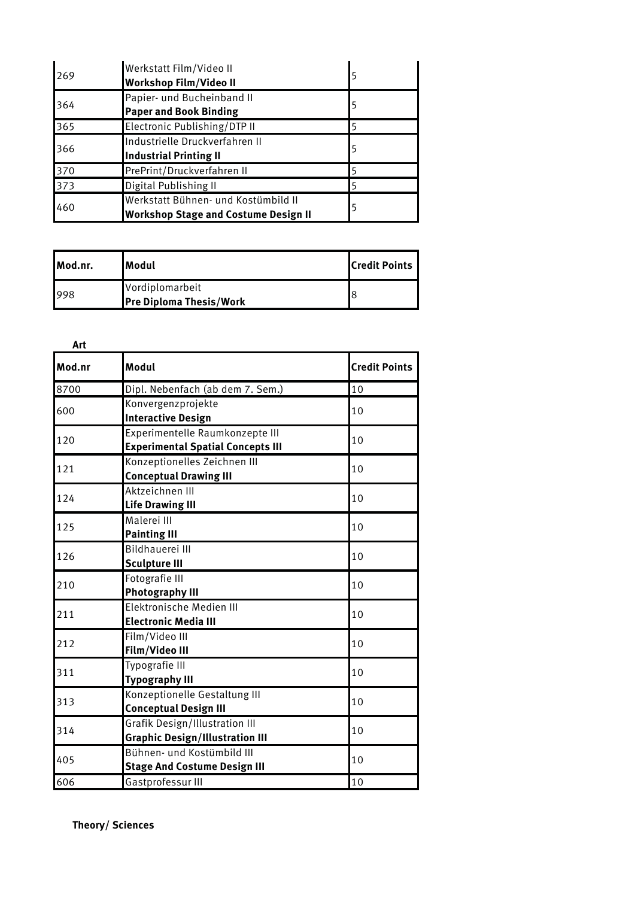| 269 | Werkstatt Film/Video II<br><b>Workshop Film/Video II</b>                           |   |
|-----|------------------------------------------------------------------------------------|---|
| 364 | Papier- und Bucheinband II<br><b>Paper and Book Binding</b>                        | 5 |
| 365 | Electronic Publishing/DTP II                                                       | 5 |
| 366 | Industrielle Druckverfahren II<br><b>Industrial Printing II</b>                    | 5 |
| 370 | PrePrint/Druckverfahren II                                                         |   |
| 373 | Digital Publishing II                                                              |   |
| 460 | Werkstatt Bühnen- und Kostümbild II<br><b>Workshop Stage and Costume Design II</b> |   |

| Mod.nr. | <b>I</b> Modul                 | <b>Credit Points</b> |
|---------|--------------------------------|----------------------|
| 998     | Vordiplomarbeit                |                      |
|         | <b>Pre Diploma Thesis/Work</b> |                      |

| Art    |                                                                                 |                      |
|--------|---------------------------------------------------------------------------------|----------------------|
| Mod.nr | Modul                                                                           | <b>Credit Points</b> |
| 8700   | Dipl. Nebenfach (ab dem 7. Sem.)                                                | 10                   |
| 600    | Konvergenzprojekte<br><b>Interactive Design</b>                                 | 10                   |
| 120    | Experimentelle Raumkonzepte III<br><b>Experimental Spatial Concepts III</b>     | 10                   |
| 121    | Konzeptionelles Zeichnen III<br><b>Conceptual Drawing III</b>                   | 10                   |
| 124    | Aktzeichnen III<br><b>Life Drawing III</b>                                      | 10                   |
| 125    | Malerei III<br><b>Painting III</b>                                              | 10                   |
| 126    | <b>Bildhauerei III</b><br><b>Sculpture III</b>                                  | 10                   |
| 210    | Fotografie III<br><b>Photography III</b>                                        | 10                   |
| 211    | Elektronische Medien III<br><b>Electronic Media III</b>                         | 10                   |
| 212    | Film/Video III<br><b>Film/Video III</b>                                         | 10                   |
| 311    | Typografie III<br><b>Typography III</b>                                         | 10                   |
| 313    | Konzeptionelle Gestaltung III<br><b>Conceptual Design III</b>                   | 10                   |
| 314    | <b>Grafik Design/Illustration III</b><br><b>Graphic Design/Illustration III</b> | 10                   |
| 405    | Bühnen- und Kostümbild III<br><b>Stage And Costume Design III</b>               | 10                   |
| 606    | Gastprofessur III                                                               | 10                   |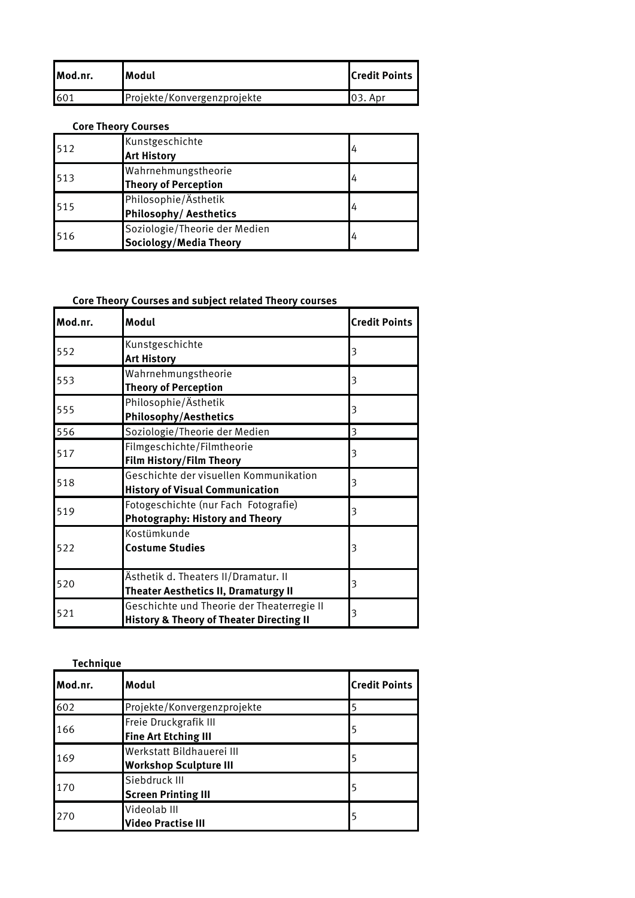| Mod.nr. | lModul                      | <b>I</b> Credit Points |
|---------|-----------------------------|------------------------|
| 601     | Projekte/Konvergenzprojekte | 103. Apr               |

## **Core Theory Courses**

| 512 | Kunstgeschichte<br><b>Art History</b>                   | 4 |
|-----|---------------------------------------------------------|---|
| 513 | Wahrnehmungstheorie<br><b>Theory of Perception</b>      | 4 |
| 515 | Philosophie/Ästhetik<br>Philosophy/ Aesthetics          | 4 |
| 516 | Soziologie/Theorie der Medien<br>Sociology/Media Theory | 4 |

# **Core Theory Courses and subject related Theory courses**

| Mod.nr. | Modul                                                                                             | <b>Credit Points</b> |
|---------|---------------------------------------------------------------------------------------------------|----------------------|
| 552     | Kunstgeschichte<br><b>Art History</b>                                                             | 3                    |
| 553     | Wahrnehmungstheorie<br><b>Theory of Perception</b>                                                | 3                    |
| 555     | Philosophie/Ästhetik<br><b>Philosophy/Aesthetics</b>                                              | 3                    |
| 556     | Soziologie/Theorie der Medien                                                                     | 3                    |
| 517     | Filmgeschichte/Filmtheorie<br><b>Film History/Film Theory</b>                                     | 3                    |
| 518     | Geschichte der visuellen Kommunikation<br><b>History of Visual Communication</b>                  | 3                    |
| 519     | Fotogeschichte (nur Fach Fotografie)<br><b>Photography: History and Theory</b>                    | 3                    |
| 522     | Kostümkunde<br><b>Costume Studies</b>                                                             | 3                    |
| 520     | Ästhetik d. Theaters II/Dramatur. II<br><b>Theater Aesthetics II, Dramaturgy II</b>               | 3                    |
| 521     | Geschichte und Theorie der Theaterregie II<br><b>History &amp; Theory of Theater Directing II</b> | 3                    |

| <b>Technique</b> |                                                            |                      |
|------------------|------------------------------------------------------------|----------------------|
| Mod.nr.          | Modul                                                      | <b>Credit Points</b> |
| 602              | Projekte/Konvergenzprojekte                                | 5                    |
| 166              | Freie Druckgrafik III<br><b>Fine Art Etching III</b>       | 5                    |
| 169              | Werkstatt Bildhauerei III<br><b>Workshop Sculpture III</b> | 5                    |
| 170              | Siebdruck III<br><b>Screen Printing III</b>                | 5                    |
| 270              | Videolab III<br>Video Practise III                         | 5                    |